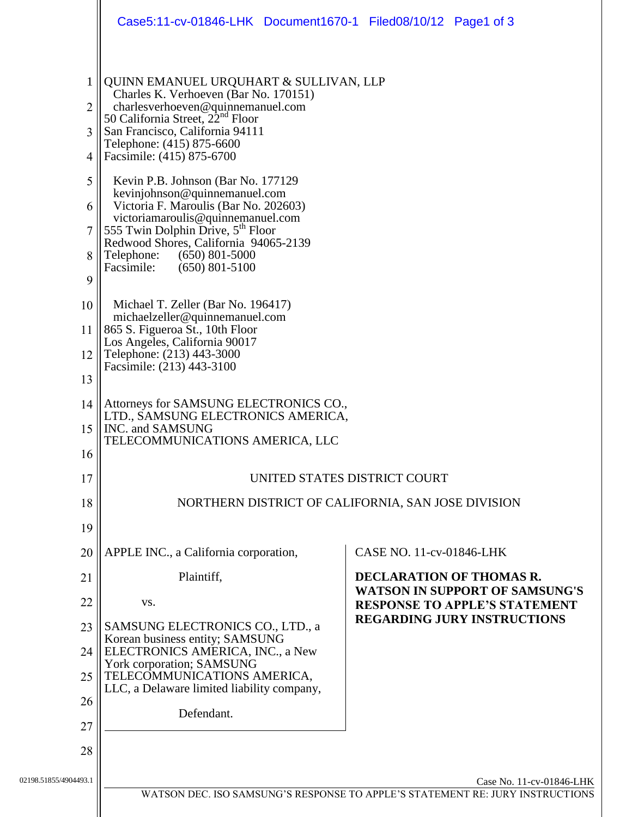|                             | Case5:11-cv-01846-LHK Document1670-1 Filed08/10/12 Page1 of 3                                                                                                                                                                                                                                                    |  |                                                                                                                     |                          |  |
|-----------------------------|------------------------------------------------------------------------------------------------------------------------------------------------------------------------------------------------------------------------------------------------------------------------------------------------------------------|--|---------------------------------------------------------------------------------------------------------------------|--------------------------|--|
| $\mathbf{1}$<br>2<br>3<br>4 | QUINN EMANUEL URQUHART & SULLIVAN, LLP<br>Charles K. Verhoeven (Bar No. 170151)<br>charlesverhoeven@quinnemanuel.com<br>50 California Street, 22 <sup>nd</sup> Floor<br>San Francisco, California 94111<br>Telephone: (415) 875-6600<br>Facsimile: (415) 875-6700                                                |  |                                                                                                                     |                          |  |
| 5<br>6<br>8<br>9            | Kevin P.B. Johnson (Bar No. 177129)<br>kevinjohnson@quinnemanuel.com<br>Victoria F. Maroulis (Bar No. 202603)<br>victoriamaroulis@quinnemanuel.com<br>555 Twin Dolphin Drive, 5 <sup>th</sup> Floor<br>Redwood Shores, California 94065-2139<br>Telephone:<br>$(650)$ 801-5000<br>Facsimile:<br>$(650)$ 801-5100 |  |                                                                                                                     |                          |  |
| 10<br>11<br>12<br>13        | Michael T. Zeller (Bar No. 196417)<br>michaelzeller@quinnemanuel.com<br>865 S. Figueroa St., 10th Floor<br>Los Angeles, California 90017<br>Telephone: (213) 443-3000<br>Facsimile: (213) 443-3100                                                                                                               |  |                                                                                                                     |                          |  |
| 14<br>15<br>16              | Attorneys for SAMSUNG ELECTRONICS CO.,<br>LTD., SAMSUNG ELECTRONICS AMERICA,<br>INC. and SAMSUNG<br>TELECOMMUNICATIONS AMERICA, LLC                                                                                                                                                                              |  |                                                                                                                     |                          |  |
| 17<br>18<br>19              | UNITED STATES DISTRICT COURT<br>NORTHERN DISTRICT OF CALIFORNIA, SAN JOSE DIVISION                                                                                                                                                                                                                               |  |                                                                                                                     |                          |  |
| 20                          | APPLE INC., a California corporation,                                                                                                                                                                                                                                                                            |  | CASE NO. 11-cv-01846-LHK                                                                                            |                          |  |
| 21                          | Plaintiff,                                                                                                                                                                                                                                                                                                       |  |                                                                                                                     | DECLARATION OF THOMAS R. |  |
| 22                          | VS.                                                                                                                                                                                                                                                                                                              |  | <b>WATSON IN SUPPORT OF SAMSUNG'S</b><br><b>RESPONSE TO APPLE'S STATEMENT</b><br><b>REGARDING JURY INSTRUCTIONS</b> |                          |  |
| 23<br>24                    | SAMSUNG ELECTRONICS CO., LTD., a<br>Korean business entity; SAMSUNG<br>ELECTRONICS AMERICA, INC., a New                                                                                                                                                                                                          |  |                                                                                                                     |                          |  |
| 25                          | York corporation; SAMSUNG<br>TELECOMMUNICATIONS AMERICA,                                                                                                                                                                                                                                                         |  |                                                                                                                     |                          |  |
| 26                          | LLC, a Delaware limited liability company,                                                                                                                                                                                                                                                                       |  |                                                                                                                     |                          |  |
| 27                          | Defendant.                                                                                                                                                                                                                                                                                                       |  |                                                                                                                     |                          |  |
| 28                          |                                                                                                                                                                                                                                                                                                                  |  |                                                                                                                     |                          |  |
| 02198.51855/4904493.1       |                                                                                                                                                                                                                                                                                                                  |  |                                                                                                                     | Case No. 11-cv-01846-LHK |  |
|                             | WATSON DEC. ISO SAMSUNG'S RESPONSE TO APPLE'S STATEMENT RE: JURY INSTRUCTIONS                                                                                                                                                                                                                                    |  |                                                                                                                     |                          |  |
|                             |                                                                                                                                                                                                                                                                                                                  |  |                                                                                                                     |                          |  |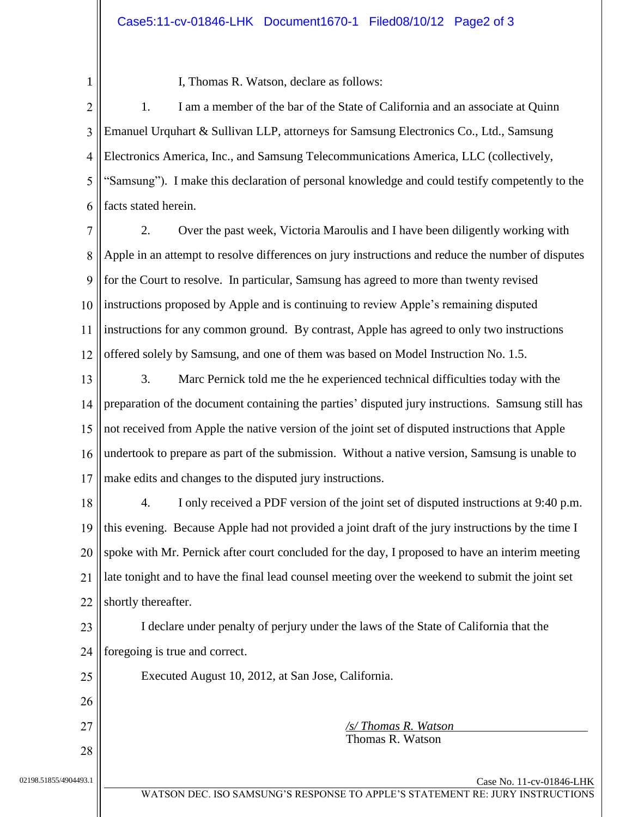1

I, Thomas R. Watson, declare as follows:

 $\overline{2}$ 3  $\overline{4}$ 5 6 1. I am a member of the bar of the State of California and an associate at Quinn Emanuel Urquhart & Sullivan LLP, attorneys for Samsung Electronics Co., Ltd., Samsung Electronics America, Inc., and Samsung Telecommunications America, LLC (collectively, "Samsung"). I make this declaration of personal knowledge and could testify competently to the facts stated herein.

7 8 9  $10$  $11$  $12$ 2. Over the past week, Victoria Maroulis and I have been diligently working with Apple in an attempt to resolve differences on jury instructions and reduce the number of disputes for the Court to resolve. In particular, Samsung has agreed to more than twenty revised instructions proposed by Apple and is continuing to review Apple's remaining disputed instructions for any common ground. By contrast, Apple has agreed to only two instructions offered solely by Samsung, and one of them was based on Model Instruction No. 1.5.

13  $14$ 15 16  $17$ 3. Marc Pernick told me the he experienced technical difficulties today with the preparation of the document containing the parties' disputed jury instructions. Samsung still has not received from Apple the native version of the joint set of disputed instructions that Apple undertook to prepare as part of the submission. Without a native version, Samsung is unable to make edits and changes to the disputed jury instructions.

18 19 20 21 22 4. I only received a PDF version of the joint set of disputed instructions at 9:40 p.m. this evening. Because Apple had not provided a joint draft of the jury instructions by the time I spoke with Mr. Pernick after court concluded for the day, I proposed to have an interim meeting late tonight and to have the final lead counsel meeting over the weekend to submit the joint set shortly thereafter.

23 24 I declare under penalty of perjury under the laws of the State of California that the foregoing is true and correct.

25 26 27 28 02198.51855/4904493.1 Case No. 11-cv-01846-LHK Executed August 10, 2012, at San Jose, California. */s/ Thomas R. Watson* Thomas R. Watson

WATSON DEC. ISO SAMSUNG'S RESPONSE TO APPLE'S STATEMENT RE: JURY INSTRUCTIONS